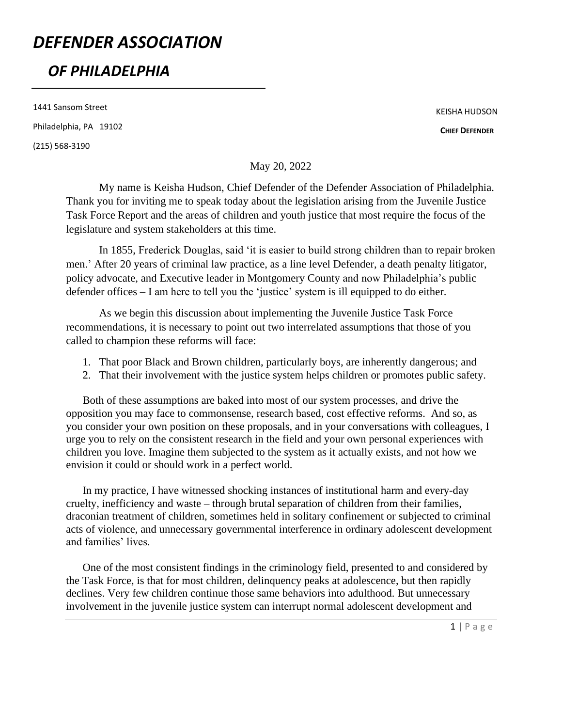# *DEFENDER ASSOCIATION*

## *OF PHILADELPHIA*

1441 Sansom Street Philadelphia, PA 19102 (215) 568-3190

KEISHA HUDSON

**CHIEF DEFENDER**

May 20, 2022

My name is Keisha Hudson, Chief Defender of the Defender Association of Philadelphia. Thank you for inviting me to speak today about the legislation arising from the Juvenile Justice Task Force Report and the areas of children and youth justice that most require the focus of the legislature and system stakeholders at this time.

In 1855, Frederick Douglas, said 'it is easier to build strong children than to repair broken men.' After 20 years of criminal law practice, as a line level Defender, a death penalty litigator, policy advocate, and Executive leader in Montgomery County and now Philadelphia's public defender offices – I am here to tell you the 'justice' system is ill equipped to do either.

As we begin this discussion about implementing the Juvenile Justice Task Force recommendations, it is necessary to point out two interrelated assumptions that those of you called to champion these reforms will face:

- 1. That poor Black and Brown children, particularly boys, are inherently dangerous; and
- 2. That their involvement with the justice system helps children or promotes public safety.

Both of these assumptions are baked into most of our system processes, and drive the opposition you may face to commonsense, research based, cost effective reforms. And so, as you consider your own position on these proposals, and in your conversations with colleagues, I urge you to rely on the consistent research in the field and your own personal experiences with children you love. Imagine them subjected to the system as it actually exists, and not how we envision it could or should work in a perfect world.

In my practice, I have witnessed shocking instances of institutional harm and every-day cruelty, inefficiency and waste – through brutal separation of children from their families, draconian treatment of children, sometimes held in solitary confinement or subjected to criminal acts of violence, and unnecessary governmental interference in ordinary adolescent development and families' lives.

One of the most consistent findings in the criminology field, presented to and considered by the Task Force, is that for most children, delinquency peaks at adolescence, but then rapidly declines. Very few children continue those same behaviors into adulthood. But unnecessary involvement in the juvenile justice system can interrupt normal adolescent development and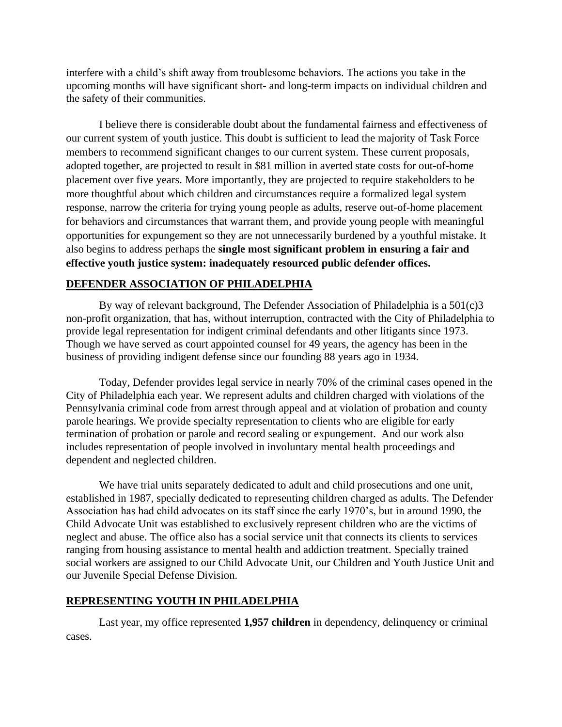interfere with a child's shift away from troublesome behaviors. The actions you take in the upcoming months will have significant short- and long-term impacts on individual children and the safety of their communities.

I believe there is considerable doubt about the fundamental fairness and effectiveness of our current system of youth justice. This doubt is sufficient to lead the majority of Task Force members to recommend significant changes to our current system. These current proposals, adopted together, are projected to result in \$81 million in averted state costs for out-of-home placement over five years. More importantly, they are projected to require stakeholders to be more thoughtful about which children and circumstances require a formalized legal system response, narrow the criteria for trying young people as adults, reserve out-of-home placement for behaviors and circumstances that warrant them, and provide young people with meaningful opportunities for expungement so they are not unnecessarily burdened by a youthful mistake. It also begins to address perhaps the **single most significant problem in ensuring a fair and effective youth justice system: inadequately resourced public defender offices.**

#### **DEFENDER ASSOCIATION OF PHILADELPHIA**

By way of relevant background, The Defender Association of Philadelphia is a 501(c)3 non-profit organization, that has, without interruption, contracted with the City of Philadelphia to provide legal representation for indigent criminal defendants and other litigants since 1973. Though we have served as court appointed counsel for 49 years, the agency has been in the business of providing indigent defense since our founding 88 years ago in 1934.

Today, Defender provides legal service in nearly 70% of the criminal cases opened in the City of Philadelphia each year. We represent adults and children charged with violations of the Pennsylvania criminal code from arrest through appeal and at violation of probation and county parole hearings. We provide specialty representation to clients who are eligible for early termination of probation or parole and record sealing or expungement. And our work also includes representation of people involved in involuntary mental health proceedings and dependent and neglected children.

We have trial units separately dedicated to adult and child prosecutions and one unit, established in 1987, specially dedicated to representing children charged as adults. The Defender Association has had child advocates on its staff since the early 1970's, but in around 1990, the Child Advocate Unit was established to exclusively represent children who are the victims of neglect and abuse. The office also has a social service unit that connects its clients to services ranging from housing assistance to mental health and addiction treatment. Specially trained social workers are assigned to our Child Advocate Unit, our Children and Youth Justice Unit and our Juvenile Special Defense Division.

#### **REPRESENTING YOUTH IN PHILADELPHIA**

Last year, my office represented **1,957 children** in dependency, delinquency or criminal cases.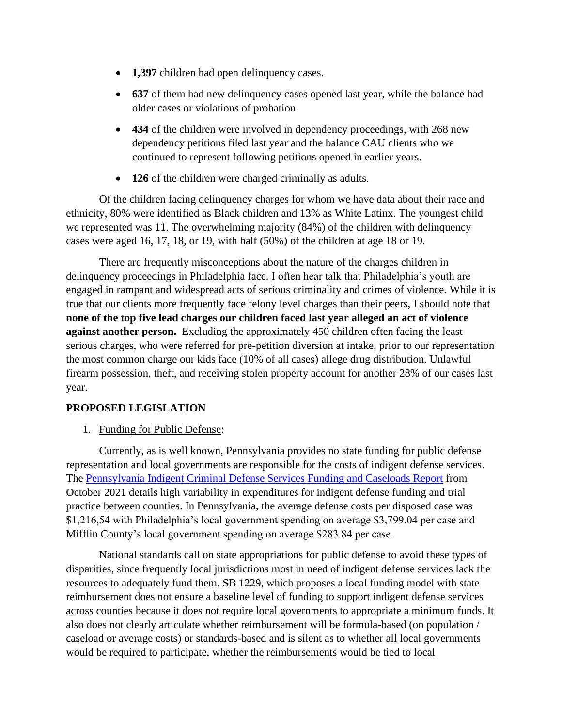- **1,397** children had open delinquency cases.
- **637** of them had new delinquency cases opened last year, while the balance had older cases or violations of probation.
- **434** of the children were involved in dependency proceedings, with 268 new dependency petitions filed last year and the balance CAU clients who we continued to represent following petitions opened in earlier years.
- **126** of the children were charged criminally as adults.

Of the children facing delinquency charges for whom we have data about their race and ethnicity, 80% were identified as Black children and 13% as White Latinx. The youngest child we represented was 11. The overwhelming majority (84%) of the children with delinquency cases were aged 16, 17, 18, or 19, with half (50%) of the children at age 18 or 19.

There are frequently misconceptions about the nature of the charges children in delinquency proceedings in Philadelphia face. I often hear talk that Philadelphia's youth are engaged in rampant and widespread acts of serious criminality and crimes of violence. While it is true that our clients more frequently face felony level charges than their peers, I should note that **none of the top five lead charges our children faced last year alleged an act of violence against another person.** Excluding the approximately 450 children often facing the least serious charges, who were referred for pre-petition diversion at intake, prior to our representation the most common charge our kids face (10% of all cases) allege drug distribution. Unlawful firearm possession, theft, and receiving stolen property account for another 28% of our cases last year.

## **PROPOSED LEGISLATION**

1. Funding for Public Defense:

Currently, as is well known, Pennsylvania provides no state funding for public defense representation and local governments are responsible for the costs of indigent defense services. The [Pennsylvania Indigent Criminal Defense Services Funding and Caseloads Report](http://lbfc.legis.state.pa.us/Resources/Documents/Reports/701.pdf) from October 2021 details high variability in expenditures for indigent defense funding and trial practice between counties. In Pennsylvania, the average defense costs per disposed case was \$1,216,54 with Philadelphia's local government spending on average \$3,799.04 per case and Mifflin County's local government spending on average \$283.84 per case.

National standards call on state appropriations for public defense to avoid these types of disparities, since frequently local jurisdictions most in need of indigent defense services lack the resources to adequately fund them. SB 1229, which proposes a local funding model with state reimbursement does not ensure a baseline level of funding to support indigent defense services across counties because it does not require local governments to appropriate a minimum funds. It also does not clearly articulate whether reimbursement will be formula-based (on population / caseload or average costs) or standards-based and is silent as to whether all local governments would be required to participate, whether the reimbursements would be tied to local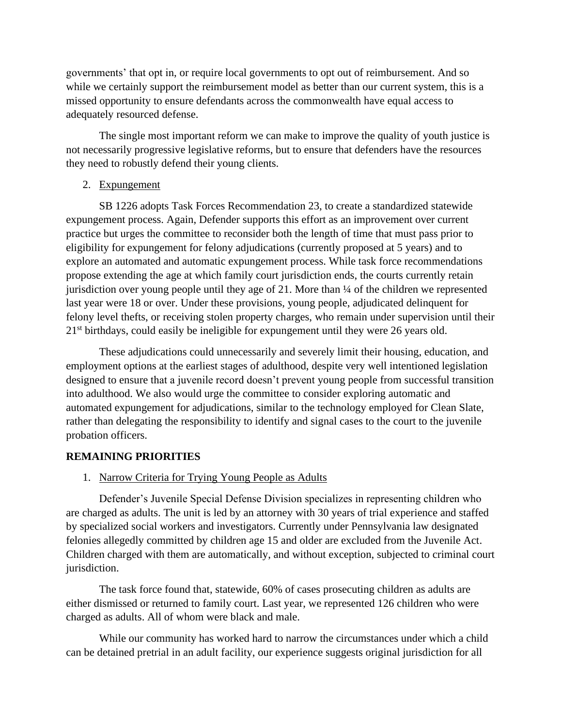governments' that opt in, or require local governments to opt out of reimbursement. And so while we certainly support the reimbursement model as better than our current system, this is a missed opportunity to ensure defendants across the commonwealth have equal access to adequately resourced defense.

The single most important reform we can make to improve the quality of youth justice is not necessarily progressive legislative reforms, but to ensure that defenders have the resources they need to robustly defend their young clients.

### 2. Expungement

SB 1226 adopts Task Forces Recommendation 23, to create a standardized statewide expungement process. Again, Defender supports this effort as an improvement over current practice but urges the committee to reconsider both the length of time that must pass prior to eligibility for expungement for felony adjudications (currently proposed at 5 years) and to explore an automated and automatic expungement process. While task force recommendations propose extending the age at which family court jurisdiction ends, the courts currently retain jurisdiction over young people until they age of 21. More than ¼ of the children we represented last year were 18 or over. Under these provisions, young people, adjudicated delinquent for felony level thefts, or receiving stolen property charges, who remain under supervision until their  $21<sup>st</sup>$  birthdays, could easily be ineligible for expungement until they were 26 years old.

These adjudications could unnecessarily and severely limit their housing, education, and employment options at the earliest stages of adulthood, despite very well intentioned legislation designed to ensure that a juvenile record doesn't prevent young people from successful transition into adulthood. We also would urge the committee to consider exploring automatic and automated expungement for adjudications, similar to the technology employed for Clean Slate, rather than delegating the responsibility to identify and signal cases to the court to the juvenile probation officers.

### **REMAINING PRIORITIES**

1. Narrow Criteria for Trying Young People as Adults

Defender's Juvenile Special Defense Division specializes in representing children who are charged as adults. The unit is led by an attorney with 30 years of trial experience and staffed by specialized social workers and investigators. Currently under Pennsylvania law designated felonies allegedly committed by children age 15 and older are excluded from the Juvenile Act. Children charged with them are automatically, and without exception, subjected to criminal court jurisdiction.

The task force found that, statewide, 60% of cases prosecuting children as adults are either dismissed or returned to family court. Last year, we represented 126 children who were charged as adults. All of whom were black and male.

While our community has worked hard to narrow the circumstances under which a child can be detained pretrial in an adult facility, our experience suggests original jurisdiction for all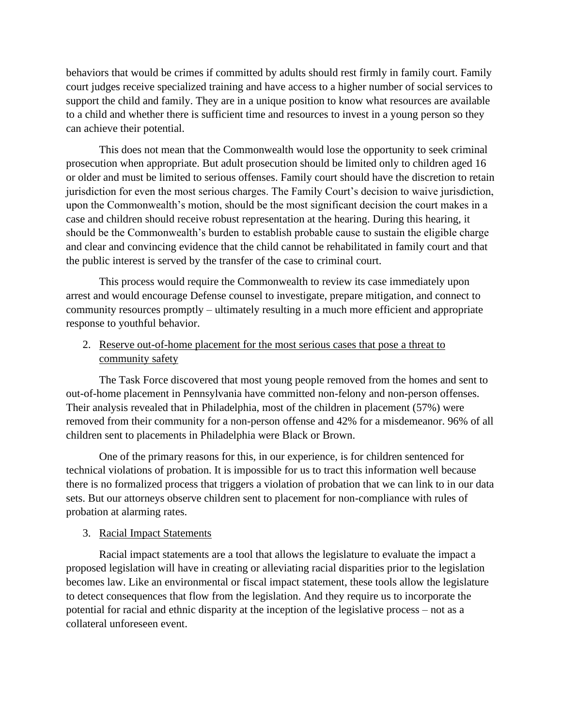behaviors that would be crimes if committed by adults should rest firmly in family court. Family court judges receive specialized training and have access to a higher number of social services to support the child and family. They are in a unique position to know what resources are available to a child and whether there is sufficient time and resources to invest in a young person so they can achieve their potential.

This does not mean that the Commonwealth would lose the opportunity to seek criminal prosecution when appropriate. But adult prosecution should be limited only to children aged 16 or older and must be limited to serious offenses. Family court should have the discretion to retain jurisdiction for even the most serious charges. The Family Court's decision to waive jurisdiction, upon the Commonwealth's motion, should be the most significant decision the court makes in a case and children should receive robust representation at the hearing. During this hearing, it should be the Commonwealth's burden to establish probable cause to sustain the eligible charge and clear and convincing evidence that the child cannot be rehabilitated in family court and that the public interest is served by the transfer of the case to criminal court.

This process would require the Commonwealth to review its case immediately upon arrest and would encourage Defense counsel to investigate, prepare mitigation, and connect to community resources promptly – ultimately resulting in a much more efficient and appropriate response to youthful behavior.

## 2. Reserve out-of-home placement for the most serious cases that pose a threat to community safety

The Task Force discovered that most young people removed from the homes and sent to out-of-home placement in Pennsylvania have committed non-felony and non-person offenses. Their analysis revealed that in Philadelphia, most of the children in placement (57%) were removed from their community for a non-person offense and 42% for a misdemeanor. 96% of all children sent to placements in Philadelphia were Black or Brown.

One of the primary reasons for this, in our experience, is for children sentenced for technical violations of probation. It is impossible for us to tract this information well because there is no formalized process that triggers a violation of probation that we can link to in our data sets. But our attorneys observe children sent to placement for non-compliance with rules of probation at alarming rates.

## 3. Racial Impact Statements

Racial impact statements are a tool that allows the legislature to evaluate the impact a proposed legislation will have in creating or alleviating racial disparities prior to the legislation becomes law. Like an environmental or fiscal impact statement, these tools allow the legislature to detect consequences that flow from the legislation. And they require us to incorporate the potential for racial and ethnic disparity at the inception of the legislative process – not as a collateral unforeseen event.